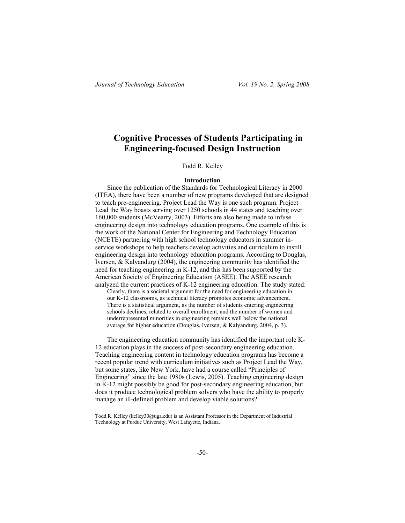# **Cognitive Processes of Students Participating in Engineering-focused Design Instruction**

#### Todd R. Kelley

#### **Introduction**

Since the publication of the Standards for Technological Literacy in 2000 (ITEA), there have been a number of new programs developed that are designed to teach pre-engineering. Project Lead the Way is one such program. Project Lead the Way boasts serving over 1250 schools in 44 states and teaching over 160,000 students (McVearry, 2003). Efforts are also being made to infuse engineering design into technology education programs. One example of this is the work of the National Center for Engineering and Technology Education (NCETE) partnering with high school technology educators in summer inservice workshops to help teachers develop activities and curriculum to instill engineering design into technology education programs. According to Douglas, Iversen, & Kalyandurg (2004), the engineering community has identified the need for teaching engineering in K-12, and this has been supported by the American Society of Engineering Education (ASEE). The ASEE research analyzed the current practices of K-12 engineering education. The study stated:

Clearly, there is a societal argument for the need for engineering education in our K-12 classrooms, as technical literacy promotes economic advancement. There is a statistical argument, as the number of students entering engineering schools declines, related to overall enrollment, and the number of women and underrepresented minorities in engineering remains well below the national average for higher education (Douglas, Iversen, & Kalyandurg, 2004, p. 3).

The engineering education community has identified the important role K-12 education plays in the success of post-secondary engineering education. Teaching engineering content in technology education programs has become a recent popular trend with curriculum initiatives such as Project Lead the Way, but some states, like New York, have had a course called "Principles of Engineering" since the late 1980s (Lewis, 2005). Teaching engineering design in K-12 might possibly be good for post-secondary engineering education, but does it produce technological problem solvers who have the ability to properly manage an ill-defined problem and develop viable solutions?

Todd R. Kelley (kelley30@uga.edu) is an Assistant Professor in the Department of Industrial Technology at Purdue University, West Lafayette, Indiana.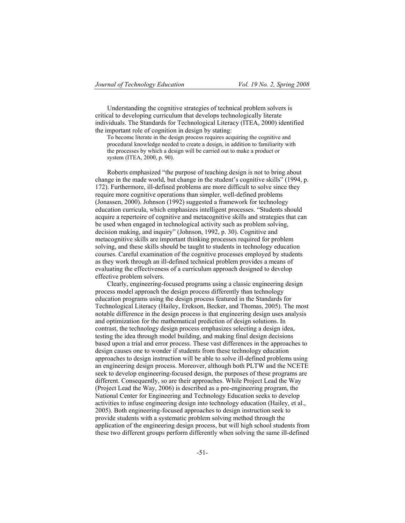Understanding the cognitive strategies of technical problem solvers is critical to developing curriculum that develops technologically literate individuals. The Standards for Technological Literacy (ITEA, 2000) identified the important role of cognition in design by stating:

To become literate in the design process requires acquiring the cognitive and procedural knowledge needed to create a design, in addition to familiarity with the processes by which a design will be carried out to make a product or system (ITEA, 2000, p. 90).

Roberts emphasized "the purpose of teaching design is not to bring about change in the made world, but change in the student's cognitive skills" (1994, p. 172). Furthermore, ill-defined problems are more difficult to solve since they require more cognitive operations than simpler, well-defined problems (Jonassen, 2000). Johnson (1992) suggested a framework for technology education curricula, which emphasizes intelligent processes. "Students should acquire a repertoire of cognitive and metacognitive skills and strategies that can be used when engaged in technological activity such as problem solving, decision making, and inquiry" (Johnson, 1992, p. 30). Cognitive and metacognitive skills are important thinking processes required for problem solving, and these skills should be taught to students in technology education courses. Careful examination of the cognitive processes employed by students as they work through an ill-defined technical problem provides a means of evaluating the effectiveness of a curriculum approach designed to develop effective problem solvers.

Clearly, engineering-focused programs using a classic engineering design process model approach the design process differently than technology education programs using the design process featured in the Standards for Technological Literacy (Hailey, Erekson, Becker, and Thomas, 2005). The most notable difference in the design process is that engineering design uses analysis and optimization for the mathematical prediction of design solutions. In contrast, the technology design process emphasizes selecting a design idea, testing the idea through model building, and making final design decisions based upon a trial and error process. These vast differences in the approaches to design causes one to wonder if students from these technology education approaches to design instruction will be able to solve ill-defined problems using an engineering design process. Moreover, although both PLTW and the NCETE seek to develop engineering-focused design, the purposes of these programs are different. Consequently, so are their approaches. While Project Lead the Way (Project Lead the Way, 2006) is described as a pre-engineering program, the National Center for Engineering and Technology Education seeks to develop activities to infuse engineering design into technology education (Hailey, et al., 2005). Both engineering-focused approaches to design instruction seek to provide students with a systematic problem solving method through the application of the engineering design process, but will high school students from these two different groups perform differently when solving the same ill-defined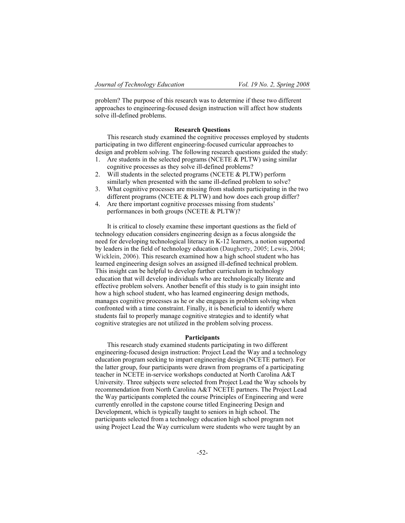problem? The purpose of this research was to determine if these two different approaches to engineering-focused design instruction will affect how students solve ill-defined problems.

### **Research Questions**

This research study examined the cognitive processes employed by students participating in two different engineering-focused curricular approaches to design and problem solving. The following research questions guided the study:

- 1. Are students in the selected programs (NCETE  $&$  PLTW) using similar cognitive processes as they solve ill-defined problems?
- 2. Will students in the selected programs (NCETE & PLTW) perform similarly when presented with the same ill-defined problem to solve?
- 3. What cognitive processes are missing from students participating in the two different programs (NCETE & PLTW) and how does each group differ?
- 4. Are there important cognitive processes missing from students' performances in both groups (NCETE & PLTW)?

It is critical to closely examine these important questions as the field of technology education considers engineering design as a focus alongside the need for developing technological literacy in K-12 learners, a notion supported by leaders in the field of technology education (Daugherty, 2005; Lewis, 2004; Wicklein, 2006). This research examined how a high school student who has learned engineering design solves an assigned ill-defined technical problem. This insight can be helpful to develop further curriculum in technology education that will develop individuals who are technologically literate and effective problem solvers. Another benefit of this study is to gain insight into how a high school student, who has learned engineering design methods, manages cognitive processes as he or she engages in problem solving when confronted with a time constraint. Finally, it is beneficial to identify where students fail to properly manage cognitive strategies and to identify what cognitive strategies are not utilized in the problem solving process.

#### **Participants**

This research study examined students participating in two different engineering-focused design instruction: Project Lead the Way and a technology education program seeking to impart engineering design (NCETE partner). For the latter group, four participants were drawn from programs of a participating teacher in NCETE in-service workshops conducted at North Carolina A&T University. Three subjects were selected from Project Lead the Way schools by recommendation from North Carolina A&T NCETE partners. The Project Lead the Way participants completed the course Principles of Engineering and were currently enrolled in the capstone course titled Engineering Design and Development, which is typically taught to seniors in high school. The participants selected from a technology education high school program not using Project Lead the Way curriculum were students who were taught by an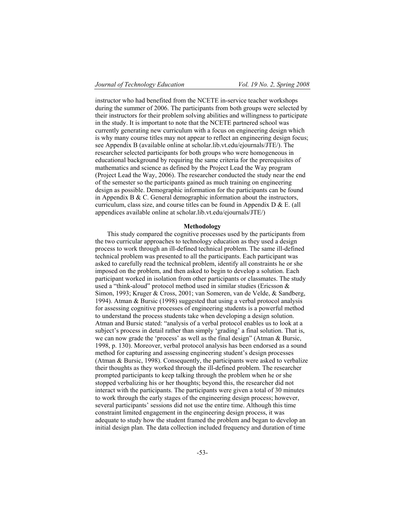instructor who had benefited from the NCETE in-service teacher workshops during the summer of 2006. The participants from both groups were selected by their instructors for their problem solving abilities and willingness to participate in the study. It is important to note that the NCETE partnered school was currently generating new curriculum with a focus on engineering design which is why many course titles may not appear to reflect an engineering design focus; see Appendix B (available online at scholar.lib.vt.edu/ejournals/JTE/). The researcher selected participants for both groups who were homogeneous in educational background by requiring the same criteria for the prerequisites of mathematics and science as defined by the Project Lead the Way program (Project Lead the Way, 2006). The researcher conducted the study near the end of the semester so the participants gained as much training on engineering design as possible. Demographic information for the participants can be found in Appendix B  $&$  C. General demographic information about the instructors, curriculum, class size, and course titles can be found in Appendix D & E. (all appendices available online at scholar.lib.vt.edu/ejournals/JTE/)

#### **Methodology**

This study compared the cognitive processes used by the participants from the two curricular approaches to technology education as they used a design process to work through an ill-defined technical problem. The same ill-defined technical problem was presented to all the participants. Each participant was asked to carefully read the technical problem, identify all constraints he or she imposed on the problem, and then asked to begin to develop a solution. Each participant worked in isolation from other participants or classmates. The study used a "think-aloud" protocol method used in similar studies (Ericsson & Simon, 1993; Kruger & Cross, 2001; van Someren, van de Velde, & Sandberg, 1994). Atman & Bursic (1998) suggested that using a verbal protocol analysis for assessing cognitive processes of engineering students is a powerful method to understand the process students take when developing a design solution. Atman and Bursic stated: "analysis of a verbal protocol enables us to look at a subject's process in detail rather than simply 'grading' a final solution. That is, we can now grade the 'process' as well as the final design" (Atman & Bursic, 1998, p. 130). Moreover, verbal protocol analysis has been endorsed as a sound method for capturing and assessing engineering student's design processes (Atman & Bursic, 1998). Consequently, the participants were asked to verbalize their thoughts as they worked through the ill-defined problem. The researcher prompted participants to keep talking through the problem when he or she stopped verbalizing his or her thoughts; beyond this, the researcher did not interact with the participants. The participants were given a total of 30 minutes to work through the early stages of the engineering design process; however, several participants' sessions did not use the entire time. Although this time constraint limited engagement in the engineering design process, it was adequate to study how the student framed the problem and began to develop an initial design plan. The data collection included frequency and duration of time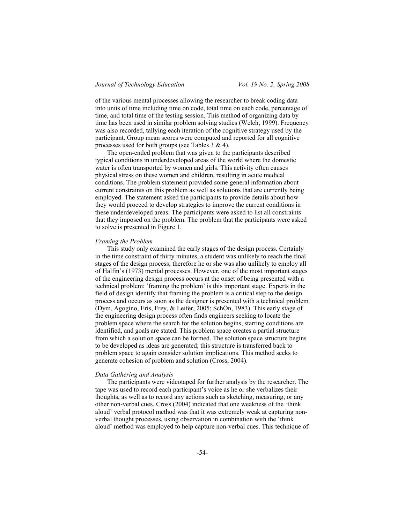of the various mental processes allowing the researcher to break coding data into units of time including time on code, total time on each code, percentage of time, and total time of the testing session. This method of organizing data by time has been used in similar problem solving studies (Welch, 1999). Frequency was also recorded, tallying each iteration of the cognitive strategy used by the participant. Group mean scores were computed and reported for all cognitive processes used for both groups (see Tables 3 & 4).

The open-ended problem that was given to the participants described typical conditions in underdeveloped areas of the world where the domestic water is often transported by women and girls. This activity often causes physical stress on these women and children, resulting in acute medical conditions. The problem statement provided some general information about current constraints on this problem as well as solutions that are currently being employed. The statement asked the participants to provide details about how they would proceed to develop strategies to improve the current conditions in these underdeveloped areas. The participants were asked to list all constraints that they imposed on the problem. The problem that the participants were asked to solve is presented in Figure 1.

#### *Framing the Problem*

This study only examined the early stages of the design process. Certainly in the time constraint of thirty minutes, a student was unlikely to reach the final stages of the design process; therefore he or she was also unlikely to employ all of Halfin's (1973) mental processes. However, one of the most important stages of the engineering design process occurs at the onset of being presented with a technical problem: 'framing the problem' is this important stage. Experts in the field of design identify that framing the problem is a critical step to the design process and occurs as soon as the designer is presented with a technical problem (Dym, Agogino, Eris, Frey, & Leifer, 2005; SchÖn, 1983). This early stage of the engineering design process often finds engineers seeking to locate the problem space where the search for the solution begins, starting conditions are identified, and goals are stated. This problem space creates a partial structure from which a solution space can be formed. The solution space structure begins to be developed as ideas are generated; this structure is transferred back to problem space to again consider solution implications. This method seeks to generate cohesion of problem and solution (Cross, 2004).

#### *Data Gathering and Analysis*

The participants were videotaped for further analysis by the researcher. The tape was used to record each participant's voice as he or she verbalizes their thoughts, as well as to record any actions such as sketching, measuring, or any other non-verbal cues. Cross (2004) indicated that one weakness of the 'think aloud' verbal protocol method was that it was extremely weak at capturing nonverbal thought processes, using observation in combination with the 'think aloud' method was employed to help capture non-verbal cues. This technique of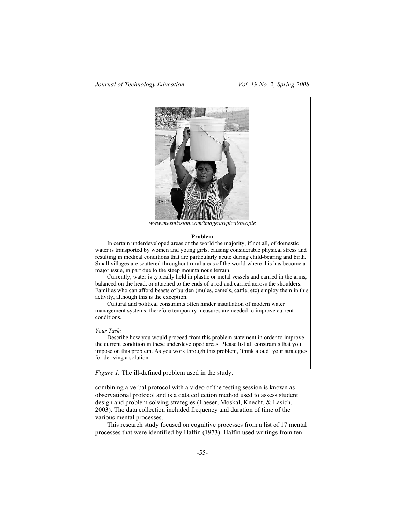

*www.mexmission.com/images/typical/people* 

#### **Problem**

In certain underdeveloped areas of the world the majority, if not all, of domestic water is transported by women and young girls, causing considerable physical stress and resulting in medical conditions that are particularly acute during child-bearing and birth. Small villages are scattered throughout rural areas of the world where this has become a major issue, in part due to the steep mountainous terrain.

Currently, water is typically held in plastic or metal vessels and carried in the arms, balanced on the head, or attached to the ends of a rod and carried across the shoulders. Families who can afford beasts of burden (mules, camels, cattle, etc) employ them in this activity, although this is the exception.

Cultural and political constraints often hinder installation of modern water management systems; therefore temporary measures are needed to improve current conditions.

*Your Task:* 

Describe how you would proceed from this problem statement in order to improve the current condition in these underdeveloped areas. Please list all constraints that you impose on this problem. As you work through this problem, 'think aloud' your strategies for deriving a solution.

*Figure 1.* The ill-defined problem used in the study.

combining a verbal protocol with a video of the testing session is known as observational protocol and is a data collection method used to assess student design and problem solving strategies (Laeser, Moskal, Knecht, & Lasich, 2003). The data collection included frequency and duration of time of the various mental processes.

This research study focused on cognitive processes from a list of 17 mental processes that were identified by Halfin (1973). Halfin used writings from ten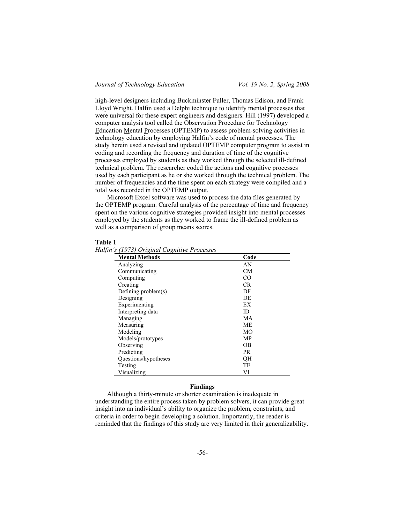high-level designers including Buckminster Fuller, Thomas Edison, and Frank Lloyd Wright. Halfin used a Delphi technique to identify mental processes that were universal for these expert engineers and designers. Hill (1997) developed a computer analysis tool called the Observation Procedure for Technology Education Mental Processes (OPTEMP) to assess problem-solving activities in technology education by employing Halfin's code of mental processes. The study herein used a revised and updated OPTEMP computer program to assist in coding and recording the frequency and duration of time of the cognitive processes employed by students as they worked through the selected ill-defined technical problem. The researcher coded the actions and cognitive processes used by each participant as he or she worked through the technical problem. The number of frequencies and the time spent on each strategy were compiled and a total was recorded in the OPTEMP output.

Microsoft Excel software was used to process the data files generated by the OPTEMP program. Careful analysis of the percentage of time and frequency spent on the various cognitive strategies provided insight into mental processes employed by the students as they worked to frame the ill-defined problem as well as a comparison of group means scores.

#### **Table 1**

*Halfin's (1973) Original Cognitive Processes* 

| <b>Mental Methods</b>  | Code            |
|------------------------|-----------------|
| Analyzing              | AN              |
| Communicating          | <b>CM</b>       |
| Computing              | CO <sup>-</sup> |
| Creating               | CR              |
| Defining problem $(s)$ | DF              |
| Designing              | DE.             |
| Experimenting          | EX              |
| Interpreting data      | ID              |
| Managing               | MA              |
| Measuring              | <b>ME</b>       |
| Modeling               | MO              |
| Models/prototypes      | MP              |
| Observing              | <b>OB</b>       |
| Predicting             | <b>PR</b>       |
| Questions/hypotheses   | <b>OH</b>       |
| Testing                | TE              |
| Visualizing            | VI              |

## **Findings**

Although a thirty-minute or shorter examination is inadequate in understanding the entire process taken by problem solvers, it can provide great insight into an individual's ability to organize the problem, constraints, and criteria in order to begin developing a solution. Importantly, the reader is reminded that the findings of this study are very limited in their generalizability.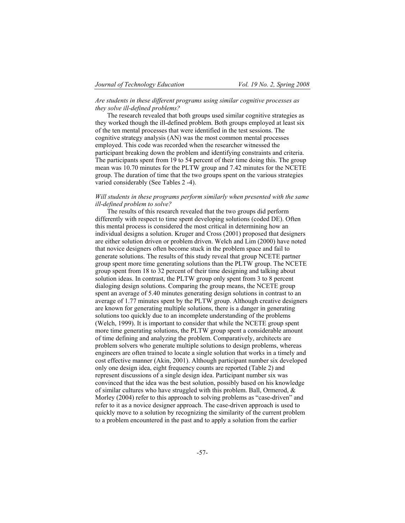## *Are students in these different programs using similar cognitive processes as they solve ill-defined problems?*

The research revealed that both groups used similar cognitive strategies as they worked though the ill-defined problem. Both groups employed at least six of the ten mental processes that were identified in the test sessions. The cognitive strategy analysis (AN) was the most common mental processes employed. This code was recorded when the researcher witnessed the participant breaking down the problem and identifying constraints and criteria. The participants spent from 19 to 54 percent of their time doing this. The group mean was 10.70 minutes for the PLTW group and 7.42 minutes for the NCETE group. The duration of time that the two groups spent on the various strategies varied considerably (See Tables 2 -4).

## *Will students in these programs perform similarly when presented with the same ill-defined problem to solve?*

The results of this research revealed that the two groups did perform differently with respect to time spent developing solutions (coded DE). Often this mental process is considered the most critical in determining how an individual designs a solution. Kruger and Cross (2001) proposed that designers are either solution driven or problem driven. Welch and Lim (2000) have noted that novice designers often become stuck in the problem space and fail to generate solutions. The results of this study reveal that group NCETE partner group spent more time generating solutions than the PLTW group. The NCETE group spent from 18 to 32 percent of their time designing and talking about solution ideas. In contrast, the PLTW group only spent from 3 to 8 percent dialoging design solutions. Comparing the group means, the NCETE group spent an average of 5.40 minutes generating design solutions in contrast to an average of 1.77 minutes spent by the PLTW group. Although creative designers are known for generating multiple solutions, there is a danger in generating solutions too quickly due to an incomplete understanding of the problems (Welch, 1999). It is important to consider that while the NCETE group spent more time generating solutions, the PLTW group spent a considerable amount of time defining and analyzing the problem. Comparatively, architects are problem solvers who generate multiple solutions to design problems, whereas engineers are often trained to locate a single solution that works in a timely and cost effective manner (Akin, 2001). Although participant number six developed only one design idea, eight frequency counts are reported (Table 2) and represent discussions of a single design idea. Participant number six was convinced that the idea was the best solution, possibly based on his knowledge of similar cultures who have struggled with this problem. Ball, Ormerod, & Morley (2004) refer to this approach to solving problems as "case-driven" and refer to it as a novice designer approach. The case-driven approach is used to quickly move to a solution by recognizing the similarity of the current problem to a problem encountered in the past and to apply a solution from the earlier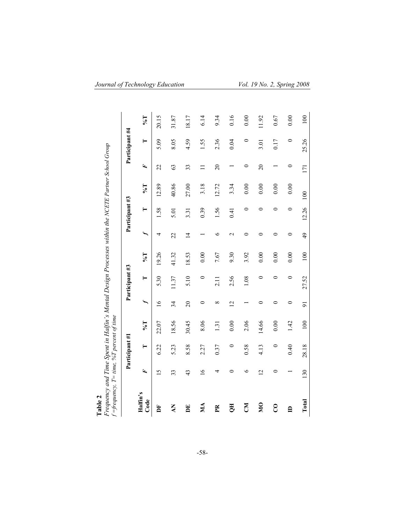| Frequency and Time Spent in Halfin's Mental Design Processes within the NCETE Partner School Group<br>f =frequency, $T = time$ , %T percent of time<br>Table 2 |                 |                |                             |                          |                |                             |                          |                |                        |                 |                |                             |
|----------------------------------------------------------------------------------------------------------------------------------------------------------------|-----------------|----------------|-----------------------------|--------------------------|----------------|-----------------------------|--------------------------|----------------|------------------------|-----------------|----------------|-----------------------------|
|                                                                                                                                                                |                 | Participant #1 |                             |                          | Participant #3 |                             |                          | Participant #3 |                        |                 | Participant #4 |                             |
| Halfin's<br>Code                                                                                                                                               | Ŀ,              | ⊨              | $\mathbb{L}^{\mathfrak{g}}$ | $\overline{\phantom{0}}$ | ⊨              | $\mathbb{L}^{\mathfrak{g}}$ | $\overline{\phantom{0}}$ | ⊨              | $\mathbb{L}^{\bullet}$ | F               | ⊨              | $\mathbb{L}^{\mathfrak{g}}$ |
| È                                                                                                                                                              | $\overline{15}$ | 6.22           | 22.07                       | $\frac{6}{1}$            | 5.30           | 19.26                       | 4                        | 1.58           | 12.89                  | 22              | 5.09           | 20.15                       |
| ΚV                                                                                                                                                             | 33              | 5.23           | 18.56                       | $\overline{34}$          | 11.37          | 41.32                       | 22                       | 5.01           | 40.86                  | $\mathcal{C}$   | 8.05           | 31.87                       |
| DE                                                                                                                                                             | 43              | 8.58           | 30.45                       | $\overline{c}$           | 5.10           | 18.53                       | $\overline{4}$           | 3.31           | 27.00                  | 33              | 4.59           | 18.17                       |
| МA                                                                                                                                                             | $\tilde{a}$     | 2.27           | 8.06                        | $\circ$                  | $\circ$        | 0.00                        |                          | 0.39           | 3.18                   |                 | 1.55           | 6.14                        |
| Ě                                                                                                                                                              | 4               | 0.37           | 1.31                        | $\infty$                 | 2.11           | 7.67                        | ৩                        | 1.56           | 12.72                  | $\overline{20}$ | 2.36           | 9.34                        |
| H                                                                                                                                                              | ⊂               | $\circ$        | 0.00                        | $\overline{2}$           | 2.56           | 9.30                        | $\mathbf 2$              | 0.41           | 3.34                   |                 | 0.04           | 0.16                        |
| ΚŊ                                                                                                                                                             | $\circ$         | 0.58           | 2.06                        |                          | 1.08           | 3.92                        | 0                        | 0              | 0.00                   | $\circ$         | 0              | 0.00                        |
| $\overline{\mathbf{M}}$                                                                                                                                        | $\overline{2}$  | 4.13           | 14.66                       | 0                        | 0              | 0.00                        | 0                        | 0              | 0.00                   | $\overline{c}$  | 3.01           | 11.92                       |
| $\overline{c}$                                                                                                                                                 | 0               | $\circ$        | 0.00                        | 0                        | 0              | 0.00                        | 0                        | 0              | 0.00                   |                 | 0.17           | 0.67                        |
| $\triangle$                                                                                                                                                    |                 | 0.40           | 1.42                        | $\circ$                  | 0              | 0.00                        | $\circ$                  | $\circ$        | 0.00                   | 0               | $\circ$        | 0.00                        |
| Total                                                                                                                                                          | 130             | 28.18          | 100                         | $\overline{5}$           | 27.52          | 100                         | $\overline{6}$           | 12.26          | $\overline{100}$       | 171             | 25.26          | $100\,$                     |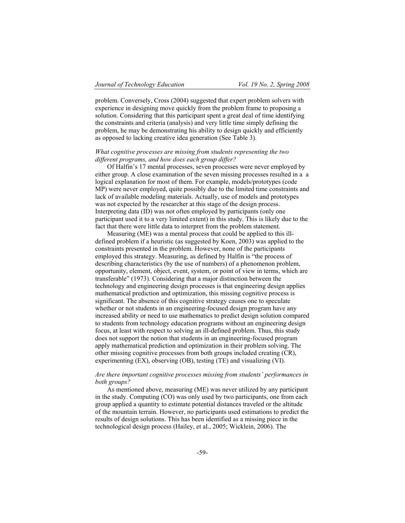problem. Conversely, Cross (2004) suggested that expert problem solvers with experience in designing move quickly from the problem frame to proposing a solution. Considering that this participant spent a great deal of time identifying the constraints and criteria (analysis) and very little time simply defining the problem, he may be demonstrating his ability to design quickly and efficiently as opposed to lacking creative idea generation (See Table 3).

## *What cognitive processes are missing from students representing the two different programs, and how does each group differ?*

Of Halfin's 17 mental processes, seven processes were never employed by either group. A close examination of the seven missing processes resulted in a a logical explanation for most of them. For example, models/prototypes (code MP) were never employed, quite possibly due to the limited time constraints and lack of available modeling materials. Actually, use of models and prototypes was not expected by the researcher at this stage of the design process. Interpreting data (ID) was not often employed by participants (only one participant used it to a very limited extent) in this study. This is likely due to the fact that there were little data to interpret from the problem statement.

Measuring (ME) was a mental process that could be applied to this illdefined problem if a heuristic (as suggested by Koen, 2003) was applied to the constraints presented in the problem. However, none of the participants employed this strategy. Measuring, as defined by Halfin is "the process of describing characteristics (by the use of numbers) of a phenomenon problem, opportunity, element, object, event, system, or point of view in terms, which are transferable" (1973). Considering that a major distinction between the technology and engineering design processes is that engineering design applies mathematical prediction and optimization, this missing cognitive process is significant. The absence of this cognitive strategy causes one to speculate whether or not students in an engineering-focused design program have any increased ability or need to use mathematics to predict design solution compared to students from technology education programs without an engineering design focus, at least with respect to solving an ill-defined problem. Thus, this study does not support the notion that students in an engineering-focused program apply mathematical prediction and optimization in their problem solving. The other missing cognitive processes from both groups included creating (CR), experimenting (EX), observing (OB), testing (TE) and visualizing (VI).

## *Are there important cognitive processes missing from students' performances in both groups?*

As mentioned above, measuring (ME) was never utilized by any participant in the study. Computing (CO) was only used by two participants, one from each group applied a quantity to estimate potential distances traveled or the altitude of the mountain terrain. However, no participants used estimations to predict the results of design solutions. This has been identified as a missing piece in the technological design process (Hailey, et al., 2005; Wicklein, 2006). The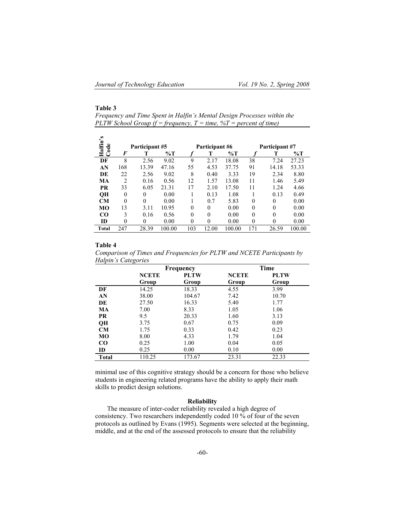## **Table 3**

 $\overline{a}$ 

*Frequency and Time Spent in Halfin's Mental Design Processes within the PLTW School Group (f = frequency, T = time, %T = percent of time)* 

| s<br>Halfin's<br>Code |                | Participant #5 |        |          | Participant #6 |        |          | Participant #7 |        |
|-----------------------|----------------|----------------|--------|----------|----------------|--------|----------|----------------|--------|
|                       | F              |                | %Т     |          | т              | %Т     |          |                | %Т     |
| DF                    | 8              | 2.56           | 9.02   | 9        | 2.17           | 18.08  | 38       | 7.24           | 27.23  |
| AN                    | 168            | 13.39          | 47.16  | 55       | 4.53           | 37.75  | 91       | 14.18          | 53.33  |
| DE                    | 22             | 2.56           | 9.02   | 8        | 0.40           | 3.33   | 19       | 2.34           | 8.80   |
| МA                    | $\overline{c}$ | 0.16           | 0.56   | 12       | 1.57           | 13.08  | 11       | 1.46           | 5.49   |
| PR                    | 33             | 6.05           | 21.31  | 17       | 2.10           | 17.50  | 11       | 1.24           | 4.66   |
| QH                    | $\theta$       | $\theta$       | 0.00   |          | 0.13           | 1.08   |          | 0.13           | 0.49   |
| CМ                    | $\theta$       | $\Omega$       | 0.00   |          | 0.7            | 5.83   | $\Omega$ | $\theta$       | 0.00   |
| MО                    | 13             | 3.11           | 10.95  | 0        | $\theta$       | 0.00   | $\Omega$ | 0              | 0.00   |
| CO                    | 3              | 0.16           | 0.56   | 0        | $\Omega$       | 0.00   | $\Omega$ | $\theta$       | 0.00   |
| <b>ID</b>             | $\theta$       | 0              | 0.00   | $\theta$ | $\theta$       | 0.00   | $\Omega$ | $\theta$       | 0.00   |
| Total                 | 247            | 28.39          | 100.00 | 103      | 12.00          | 100.00 | 171      | 26.59          | 100.00 |

#### **Table 4**

*Comparison of Times and Frequencies for PLTW and NCETE Participants by Halpin's Categories* 

|              |              | Frequency   |              | Time        |
|--------------|--------------|-------------|--------------|-------------|
|              | <b>NCETE</b> | <b>PLTW</b> | <b>NCETE</b> | <b>PLTW</b> |
|              | Group        | Group       | Group        | Group       |
| DF           | 14.25        | 18.33       | 4.55         | 3.99        |
| AN           | 38.00        | 104.67      | 7.42         | 10.70       |
| DE           | 27.50        | 16.33       | 5.40         | 1.77        |
| <b>MA</b>    | 7.00         | 8.33        | 1.05         | 1.06        |
| <b>PR</b>    | 9.5          | 20.33       | 1.60         | 3.13        |
| QH           | 3.75         | 0.67        | 0.75         | 0.09        |
| CM           | 1.75         | 0.33        | 0.42         | 0.23        |
| MO           | 8.00         | 4.33        | 1.79         | 1.04        |
| $_{\rm CO}$  | 0.25         | 1.00        | 0.04         | 0.05        |
| ID           | 0.25         | 0.00        | 0.10         | 0.00        |
| <b>Total</b> | 110.25       | 173.67      | 23.31        | 22.33       |

minimal use of this cognitive strategy should be a concern for those who believe students in engineering related programs have the ability to apply their math skills to predict design solutions.

## **Reliability**

The measure of inter-coder reliability revealed a high degree of consistency. Two researchers independently coded 10 % of four of the seven protocols as outlined by Evans (1995). Segments were selected at the beginning, middle, and at the end of the assessed protocols to ensure that the reliability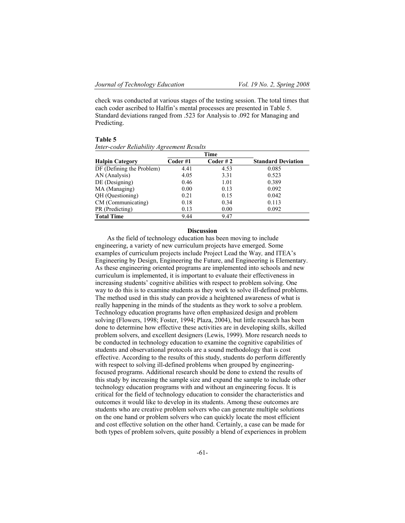check was conducted at various stages of the testing session. The total times that each coder ascribed to Halfin's mental processes are presented in Table 5. Standard deviations ranged from .523 for Analysis to .092 for Managing and Predicting.

| ш |  |
|---|--|
|---|--|

*Inter-coder Reliability Agreement Results*

|                           |         | Time               |                           |
|---------------------------|---------|--------------------|---------------------------|
| <b>Halpin Category</b>    | Coder#1 | $\text{Coder }# 2$ | <b>Standard Deviation</b> |
| DF (Defining the Problem) | 4.41    | 4.53               | 0.085                     |
| AN (Analysis)             | 4.05    | 3.31               | 0.523                     |
| DE (Designing)            | 0.46    | 1.01               | 0.389                     |
| MA (Managing)             | 0.00    | 0.13               | 0.092                     |
| QH (Questioning)          | 0.21    | 0.15               | 0.042                     |
| CM (Communicating)        | 0.18    | 0.34               | 0.113                     |
| PR (Predicting)           | 0.13    | 0.00               | 0.092                     |
| <b>Total Time</b>         | 9.44    | 9.47               |                           |

#### **Discussion**

As the field of technology education has been moving to include engineering, a variety of new curriculum projects have emerged. Some examples of curriculum projects include Project Lead the Way*,* and ITEA's Engineering by Design, Engineering the Future, and Engineering is Elementary. As these engineering oriented programs are implemented into schools and new curriculum is implemented, it is important to evaluate their effectiveness in increasing students' cognitive abilities with respect to problem solving. One way to do this is to examine students as they work to solve ill-defined problems. The method used in this study can provide a heightened awareness of what is really happening in the minds of the students as they work to solve a problem. Technology education programs have often emphasized design and problem solving (Flowers, 1998; Foster, 1994; Plaza, 2004), but little research has been done to determine how effective these activities are in developing skills, skilled problem solvers, and excellent designers (Lewis, 1999). More research needs to be conducted in technology education to examine the cognitive capabilities of students and observational protocols are a sound methodology that is cost effective. According to the results of this study, students do perform differently with respect to solving ill-defined problems when grouped by engineeringfocused programs. Additional research should be done to extend the results of this study by increasing the sample size and expand the sample to include other technology education programs with and without an engineering focus. It is critical for the field of technology education to consider the characteristics and outcomes it would like to develop in its students. Among these outcomes are students who are creative problem solvers who can generate multiple solutions on the one hand or problem solvers who can quickly locate the most efficient and cost effective solution on the other hand. Certainly, a case can be made for both types of problem solvers, quite possibly a blend of experiences in problem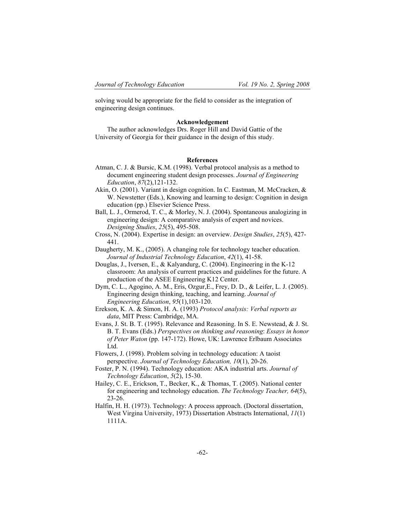solving would be appropriate for the field to consider as the integration of engineering design continues.

#### **Acknowledgement**

The author acknowledges Drs. Roger Hill and David Gattie of the University of Georgia for their guidance in the design of this study.

#### **References**

- Atman, C. J. & Bursic, K.M. (1998). Verbal protocol analysis as a method to document engineering student design processes. *Journal of Engineering Education*, *87*(2),121-132.
- Akin, O. (2001). Variant in design cognition. In C. Eastman, M. McCracken, & W. Newstetter (Eds.), Knowing and learning to design: Cognition in design education (pp.) Elsevier Science Press.
- Ball, L. J., Ormerod, T. C., & Morley, N. J. (2004). Spontaneous analogizing in engineering design: A comparative analysis of expert and novices. *Designing Studies*, *25*(5), 495-508.
- Cross, N. (2004). Expertise in design: an overview. *Design Studies*, *25*(5), 427- 441.
- Daugherty, M. K., (2005). A changing role for technology teacher education. *Journal of Industrial Technology Education*, *42*(1), 41-58.
- Douglas, J., Iversen, E., & Kalyandurg, C. (2004). Engineering in the K-12 classroom: An analysis of current practices and guidelines for the future. A production of the ASEE Engineering K12 Center.
- Dym, C. L., Agogino, A. M., Eris, Ozgur,E., Frey, D. D., & Leifer, L. J. (2005). Engineering design thinking, teaching, and learning. *Journal of Engineering Education*, *95*(1),103-120.
- Erekson, K. A. & Simon, H. A. (1993) *Protocol analysis: Verbal reports as data*, MIT Press: Cambridge, MA.
- Evans, J. St. B. T. (1995). Relevance and Reasoning. In S. E. Newstead, & J. St. B. T. Evans (Eds.) *Perspectives on thinking and reasoning*: *Essays in honor of Peter Waton* (pp. 147-172). Howe, UK: Lawrence Erlbaum Associates Ltd.
- Flowers, J. (1998). Problem solving in technology education: A taoist perspective. *Journal of Technology Education, 10*(1), 20-26.
- Foster, P. N. (1994). Technology education: AKA industrial arts. *Journal of Technology Education*, *5*(2), 15-30.
- Hailey, C. E., Erickson, T., Becker, K., & Thomas, T. (2005). National center for engineering and technology education. *The Technology Teacher, 64*(5), 23-26.
- Halfin, H. H. (1973). Technology: A process approach. (Doctoral dissertation, West Virgina University, 1973) Dissertation Abstracts International, *11*(1) 1111A.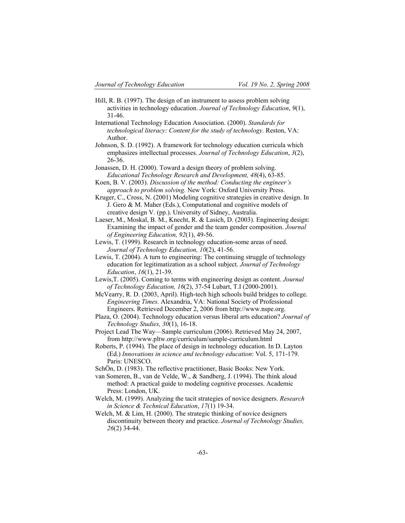- Hill, R. B. (1997). The design of an instrument to assess problem solving activities in technology education. *Journal of Technology Education*, *9*(1), 31-46.
- International Technology Education Association. (2000). *Standards for technological literacy: Content for the study of technology. Reston, VA:* Author.
- Johnson, S. D. (1992). A framework for technology education curricula which emphasizes intellectual processes. *Journal of Technology Education*, *3*(2), 26-36.
- Jonassen, D. H. (2000). Toward a design theory of problem solving. *Educational Technology Research and Development, 48*(4), 63-85.
- Koen, B. V. (2003). *Discussion of the method: Conducting the engineer's approach to problem solving.* New York: Oxford University Press.

Kruger, C., Cross, N. (2001) Modeling cognitive strategies in creative design. In J. Gero & M. Maher (Eds.), Computational and cognitive models of creative design V. (pp.). University of Sidney, Australia.

Laeser, M., Moskal, B. M., Knecht, R. & Lasich, D. (2003). Engineering design: Examining the impact of gender and the team gender composition. *Journal of Engineering Education, 92*(1), 49-56.

Lewis, T. (1999). Research in technology education-some areas of need. *Journal of Technology Education, 10*(2), 41-56.

- Lewis, T. (2004). A turn to engineering: The continuing struggle of technology education for legitimatization as a school subject. *Journal of Technology Education*, *16*(1), 21-39.
- Lewis,T. (2005). Coming to terms with engineering design as content. *Journal of Technology Education, 16*(2), 37-54 Lubart, T.I (2000-2001).

McVearry, R. D. (2003, April). High-tech high schools build bridges to college. *Engineering Times.* Alexandria, VA: National Society of Professional Engineers. Retrieved December 2, 2006 from http://www.nspe.org.

Plaza, O. (2004). Technology education versus liberal arts education? *Journal of Technology Studies, 30*(1), 16-18.

Project Lead The Way—Sample curriculum (2006). Retrieved May 24, 2007, from http://www.pltw.org/curriculum/sample-curriculum.html

Roberts, P. (1994). The place of design in technology education. In D. Layton (Ed.) *Innovations in science and technology education*: Vol. 5, 171-179. Paris: UNESCO.

SchÖn, D. (1983). The reflective practitioner, Basic Books: New York.

van Someren, B., van de Velde, W., & Sandberg, J. (1994). The think aloud method: A practical guide to modeling cognitive processes. Academic Press: London, UK.

Welch, M. (1999). Analyzing the tacit strategies of novice designers. *Research in Science & Technical Education*, *17*(1) 19-34.

Welch, M. & Lim, H. (2000). The strategic thinking of novice designers discontinuity between theory and practice. *Journal of Technology Studies, 26*(2) 34-44.